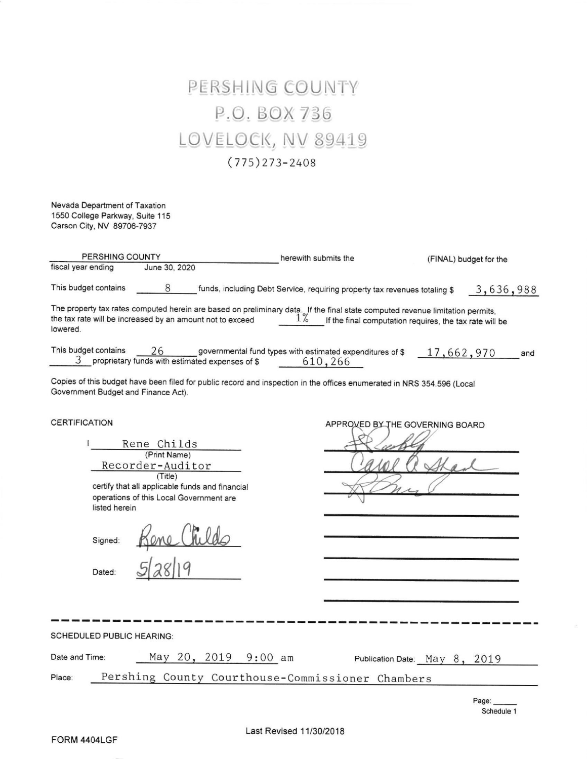## PERSHING COUNTY P.O. BOX 736 LOVELOCK, NV 89419  $(775)$  273-2408

Nevada Department of Taxation 1550 College Parkway, Suite 115 Carson City, NV 89706-7937

| PERSHING COUNTY                                            |                                                                                                                                                          | herewith submits the                                                                                                                   | (FINAL) budget for the                                  |  |  |  |
|------------------------------------------------------------|----------------------------------------------------------------------------------------------------------------------------------------------------------|----------------------------------------------------------------------------------------------------------------------------------------|---------------------------------------------------------|--|--|--|
| fiscal year ending                                         | June 30, 2020                                                                                                                                            |                                                                                                                                        |                                                         |  |  |  |
| This budget contains                                       | 8                                                                                                                                                        | funds, including Debt Service, requiring property tax revenues totaling \$                                                             | 3,636,988                                               |  |  |  |
| lowered.                                                   | the tax rate will be increased by an amount not to exceed                                                                                                | The property tax rates computed herein are based on preliminary data. If the final state computed revenue limitation permits,<br>$1\%$ | If the final computation requires, the tax rate will be |  |  |  |
| This budget contains                                       | 26<br>3 proprietary funds with estimated expenses of \$                                                                                                  | governmental fund types with estimated expenditures of \$<br>610,266                                                                   | 17,662,970<br>and                                       |  |  |  |
| Government Budget and Finance Act).                        |                                                                                                                                                          | Copies of this budget have been filed for public record and inspection in the offices enumerated in NRS 354.596 (Local                 |                                                         |  |  |  |
| <b>CERTIFICATION</b><br>listed herein<br>Signed:<br>Dated: | Rene Childs<br>(Print Name)<br>Recorder-Auditor<br>(Title)<br>certify that all applicable funds and financial<br>operations of this Local Government are |                                                                                                                                        | APPROVED BY THE GOVERNING BOARD                         |  |  |  |
| <b>SCHEDULED PUBLIC HEARING:</b>                           |                                                                                                                                                          |                                                                                                                                        |                                                         |  |  |  |
|                                                            |                                                                                                                                                          |                                                                                                                                        |                                                         |  |  |  |
| Date and Time:                                             | May 20, 2019 9:00 am                                                                                                                                     |                                                                                                                                        | Publication Date: May 8, 2019                           |  |  |  |
| Pershing County Courthouse-Commissioner Chambers<br>Place: |                                                                                                                                                          |                                                                                                                                        |                                                         |  |  |  |

Page: Schedule <sup>1</sup>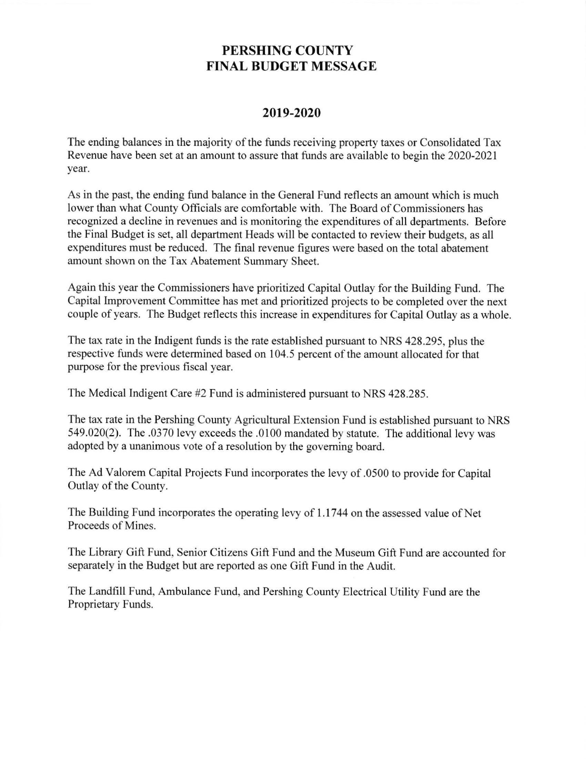## PERSHING COUNTY FINAL BUDGET MESSAGE

## 2019-2020

The ending balances in the majority of the funds receiving property taxes or Consolidated Tax Revenue have been set at an amount to assure that fimds are available to begin the 2020-2021 year.

As in the past, the ending fund balance in the General Fund reflects an amount which is much lower than what Courty Officials are comfortable with. The Board of Commissioners has recognized a decline in revenues and is monitoring the expenditures of all departments. Before the Final Budget is set, all department Heads will be contacted to review their budgets, as all expenditures must be reduced. The final revenue figures were based on the total abatement amount shown on the Tax Abatement Summary Sheet.

Again this year the Commissioners have prioritized Capital Outlay for the Building Fund. The Capital Improvement Committee has met and prioritized projects to be completed over the next couple of years. The Budget reflects this increase in expenditures for Capital Outlay as a whole.

The tax rate in the Indigent funds is the rate established pursuant to NRS 428.295, plus the respective funds were determined based on 104.5 percent of the amount allocated for that purpose for the previous fiscal year.

The Medical Indigent Care #2 Fund is administered pursuant to NRS 428.285.

The tax rate in the Pershing County Agricultural Extension Fund is established pursuant to NRS 549.020(2). The .0370 lery exceeds the .0100 mandated by statute. The additional levy was adopted by a unanimous vote of a resolution by the governing board.

The Ad Valorem Capital Projects Fund incorporates the levy of .0500 to provide for Capital Outlay of the County.

The Building Fund incorporates the operating levy of 1.1744 on the assessed value of Net Proceeds of Mines.

The Library Gift Fund, Senior Citizens Gift Fund and the Museum Gift Fund are accounted for separately in the Budget but are reported as one Gift Fund in the Audit.

The Landfill Fund, Ambulance Fund, and Pershing County Electrical Utility Fund are the Proprietary Funds.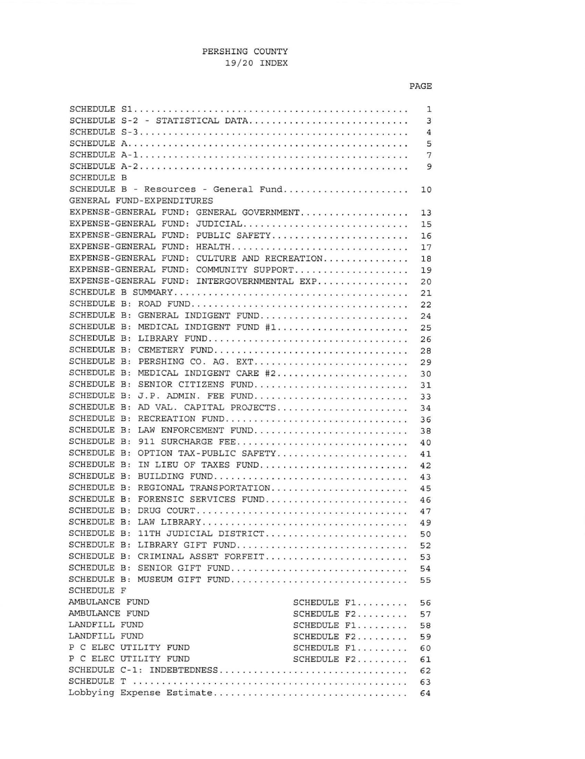|                    |                                              | $\mathbf{1}$   |
|--------------------|----------------------------------------------|----------------|
|                    | SCHEDULE S-2 - STATISTICAL DATA              | 3              |
|                    |                                              | $\overline{4}$ |
|                    |                                              | 5              |
|                    |                                              | 7              |
|                    |                                              | 9              |
| <b>SCHEDULE B</b>  |                                              |                |
|                    | SCHEDULE B - Resources - General Fund        | 10             |
|                    | GENERAL FUND-EXPENDITURES                    |                |
|                    | EXPENSE-GENERAL FUND: GENERAL GOVERNMENT     | 13             |
|                    | EXPENSE-GENERAL FUND: JUDICIAL               | 15             |
|                    | EXPENSE-GENERAL FUND: PUBLIC SAFETY          | 16             |
|                    | EXPENSE-GENERAL FUND: HEALTH                 | 17             |
|                    | EXPENSE-GENERAL FUND: CULTURE AND RECREATION | 18             |
|                    | EXPENSE-GENERAL FUND: COMMUNITY SUPPORT      | 19             |
|                    | EXPENSE-GENERAL FUND: INTERGOVERNMENTAL EXP  | 20             |
|                    |                                              | 21             |
|                    |                                              | 22             |
| SCHEDULE B:        | GENERAL INDIGENT FUND                        | 24             |
| SCHEDULE B:        | MEDICAL INDIGENT FUND #1                     | 25             |
| SCHEDULE B:        | LIBRARY FUND                                 | 26             |
| SCHEDULE B:        | CEMETERY FUND                                | 28             |
| <b>SCHEDULE B:</b> | PERSHING CO. AG. EXT                         | 29             |
| SCHEDULE B:        | MEDICAL INDIGENT CARE #2                     | 30             |
| SCHEDULE B:        | SENIOR CITIZENS FUND                         | 31             |
| SCHEDULE B:        | J.P. ADMIN. FEE FUND                         | 33             |
| <b>SCHEDULE B:</b> | AD VAL. CAPITAL PROJECTS                     | 34             |
| SCHEDULE B:        | RECREATION FUND                              | 36             |
| SCHEDULE B:        | LAW ENFORCEMENT FUND                         | 38             |
| SCHEDULE B:        | 911 SURCHARGE FEE                            | 40             |
| SCHEDULE B:        | OPTION TAX-PUBLIC SAFETY                     | 41             |
| SCHEDULE B:        | IN LIEU OF TAXES FUND                        | 42             |
| <b>SCHEDULE B:</b> | BUILDING FUND                                | 43             |
| SCHEDULE B:        | REGIONAL TRANSPORTATION                      | 45             |
| <b>SCHEDULE B:</b> | FORENSIC SERVICES FUND                       | 46             |
| SCHEDULE B:        |                                              | 47             |
| <b>SCHEDULE B:</b> |                                              | 49             |
| SCHEDULE B:        | 11TH JUDICIAL DISTRICT                       | 50             |
|                    | SCHEDULE B: LIBRARY GIFT FUND                | 52             |
|                    | SCHEDULE B: CRIMINAL ASSET FORFEIT           | 53             |
|                    | SCHEDULE B: SENIOR GIFT FUND                 | 54             |
|                    | SCHEDULE B: MUSEUM GIFT FUND                 | 55             |
| SCHEDULE F         |                                              |                |
| AMBULANCE FUND     | SCHEDULE F1                                  | 56             |
| AMBULANCE FUND     | SCHEDULE F2                                  | 57             |
| LANDFILL FUND      | SCHEDULE F1                                  | 58             |
| LANDFILL FUND      | SCHEDULE F2                                  | 59             |
|                    | P C ELEC UTILITY FUND<br>SCHEDULE F1         | 60             |
|                    | P C ELEC UTILITY FUND<br>SCHEDULE F2         | 61             |
|                    | SCHEDULE C-1: INDEBTEDNESS                   | 62             |
|                    |                                              | 63             |
|                    | Lobbying Expense Estimate                    | 64             |